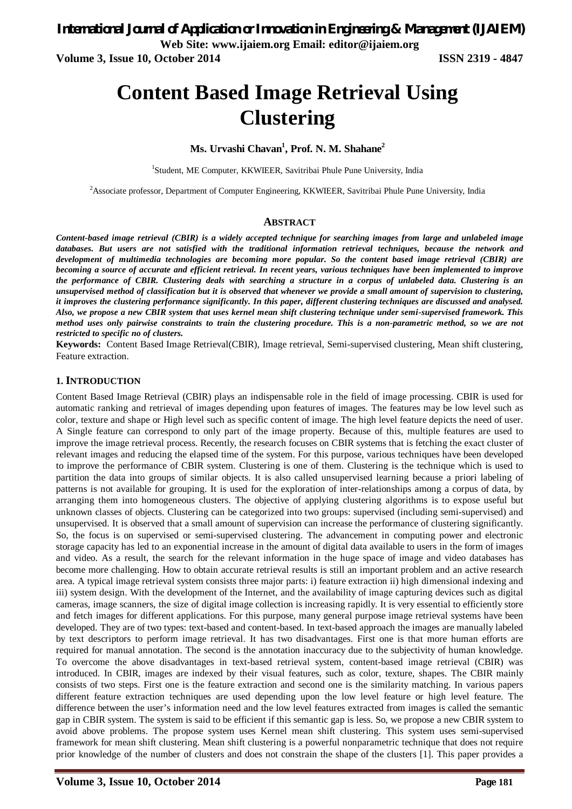**Volume 3, Issue 10, October 2014 ISSN 2319 - 4847**

# **Content Based Image Retrieval Using Clustering**

## **Ms. Urvashi Chavan<sup>1</sup> , Prof. N. M. Shahane<sup>2</sup>**

<sup>1</sup>Student, ME Computer, KKWIEER, Savitribai Phule Pune University, India

<sup>2</sup>Associate professor, Department of Computer Engineering, KKWIEER, Savitribai Phule Pune University, India

### **ABSTRACT**

*Content-based image retrieval (CBIR) is a widely accepted technique for searching images from large and unlabeled image*  databases. But users are not satisfied with the traditional information retrieval techniques, because the network and *development of multimedia technologies are becoming more popular. So the content based image retrieval (CBIR) are becoming a source of accurate and efficient retrieval. In recent years, various techniques have been implemented to improve the performance of CBIR. Clustering deals with searching a structure in a corpus of unlabeled data. Clustering is an unsupervised method of classification but it is observed that whenever we provide a small amount of supervision to clustering, it improves the clustering performance significantly. In this paper, different clustering techniques are discussed and analysed. Also, we propose a new CBIR system that uses kernel mean shift clustering technique under semi-supervised framework. This method uses only pairwise constraints to train the clustering procedure. This is a non-parametric method, so we are not restricted to specific no of clusters.*

**Keywords:** Content Based Image Retrieval(CBIR), Image retrieval, Semi-supervised clustering, Mean shift clustering, Feature extraction.

## **1. INTRODUCTION**

Content Based Image Retrieval (CBIR) plays an indispensable role in the field of image processing. CBIR is used for automatic ranking and retrieval of images depending upon features of images. The features may be low level such as color, texture and shape or High level such as specific content of image. The high level feature depicts the need of user. A Single feature can correspond to only part of the image property. Because of this, multiple features are used to improve the image retrieval process. Recently, the research focuses on CBIR systems that is fetching the exact cluster of relevant images and reducing the elapsed time of the system. For this purpose, various techniques have been developed to improve the performance of CBIR system. Clustering is one of them. Clustering is the technique which is used to partition the data into groups of similar objects. It is also called unsupervised learning because a priori labeling of patterns is not available for grouping. It is used for the exploration of inter-relationships among a corpus of data, by arranging them into homogeneous clusters. The objective of applying clustering algorithms is to expose useful but unknown classes of objects. Clustering can be categorized into two groups: supervised (including semi-supervised) and unsupervised. It is observed that a small amount of supervision can increase the performance of clustering significantly. So, the focus is on supervised or semi-supervised clustering. The advancement in computing power and electronic storage capacity has led to an exponential increase in the amount of digital data available to users in the form of images and video. As a result, the search for the relevant information in the huge space of image and video databases has become more challenging. How to obtain accurate retrieval results is still an important problem and an active research area. A typical image retrieval system consists three major parts: i) feature extraction ii) high dimensional indexing and iii) system design. With the development of the Internet, and the availability of image capturing devices such as digital cameras, image scanners, the size of digital image collection is increasing rapidly. It is very essential to efficiently store and fetch images for different applications. For this purpose, many general purpose image retrieval systems have been developed. They are of two types: text-based and content-based. In text-based approach the images are manually labeled by text descriptors to perform image retrieval. It has two disadvantages. First one is that more human efforts are required for manual annotation. The second is the annotation inaccuracy due to the subjectivity of human knowledge. To overcome the above disadvantages in text-based retrieval system, content-based image retrieval (CBIR) was introduced. In CBIR, images are indexed by their visual features, such as color, texture, shapes. The CBIR mainly consists of two steps. First one is the feature extraction and second one is the similarity matching. In various papers different feature extraction techniques are used depending upon the low level feature or high level feature. The difference between the user's information need and the low level features extracted from images is called the semantic gap in CBIR system. The system is said to be efficient if this semantic gap is less. So, we propose a new CBIR system to avoid above problems. The propose system uses Kernel mean shift clustering. This system uses semi-supervised framework for mean shift clustering. Mean shift clustering is a powerful nonparametric technique that does not require prior knowledge of the number of clusters and does not constrain the shape of the clusters [1]. This paper provides a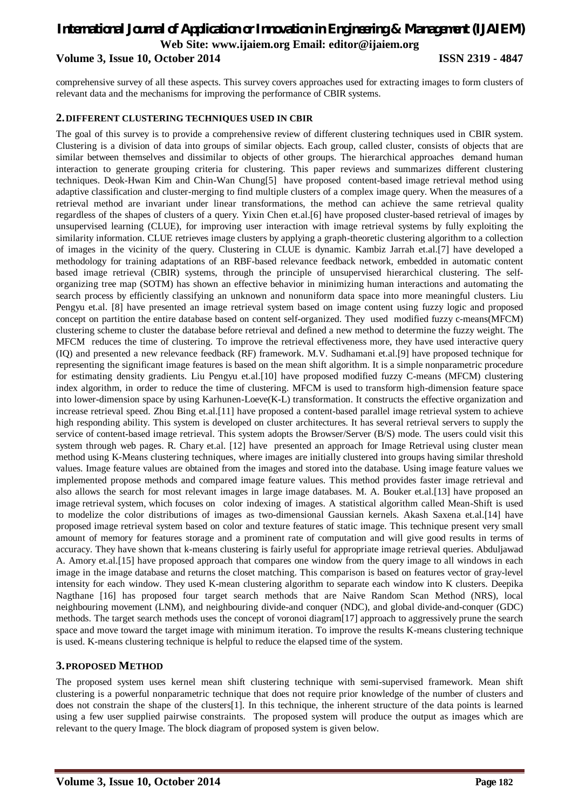## *International Journal of Application or Innovation in Engineering & Management (IJAIEM)* **Web Site: www.ijaiem.org Email: editor@ijaiem.org Volume 3, Issue 10, October 2014 ISSN 2319 - 4847**

comprehensive survey of all these aspects. This survey covers approaches used for extracting images to form clusters of relevant data and the mechanisms for improving the performance of CBIR systems.

## **2.DIFFERENT CLUSTERING TECHNIQUES USED IN CBIR**

The goal of this survey is to provide a comprehensive review of different clustering techniques used in CBIR system. Clustering is a division of data into groups of similar objects. Each group, called cluster, consists of objects that are similar between themselves and dissimilar to objects of other groups. The hierarchical approaches demand human interaction to generate grouping criteria for clustering. This paper reviews and summarizes different clustering techniques. Deok-Hwan Kim and Chin-Wan Chung[5] have proposed content-based image retrieval method using adaptive classification and cluster-merging to find multiple clusters of a complex image query. When the measures of a retrieval method are invariant under linear transformations, the method can achieve the same retrieval quality regardless of the shapes of clusters of a query. Yixin Chen et.al.[6] have proposed cluster-based retrieval of images by unsupervised learning (CLUE), for improving user interaction with image retrieval systems by fully exploiting the similarity information. CLUE retrieves image clusters by applying a graph-theoretic clustering algorithm to a collection of images in the vicinity of the query. Clustering in CLUE is dynamic. Kambiz Jarrah et.al.[7] have developed a methodology for training adaptations of an RBF-based relevance feedback network, embedded in automatic content based image retrieval (CBIR) systems, through the principle of unsupervised hierarchical clustering. The selforganizing tree map (SOTM) has shown an effective behavior in minimizing human interactions and automating the search process by efficiently classifying an unknown and nonuniform data space into more meaningful clusters. Liu Pengyu et.al. [8] have presented an image retrieval system based on image content using fuzzy logic and proposed concept on partition the entire database based on content self-organized. They used modified fuzzy c-means(MFCM) clustering scheme to cluster the database before retrieval and defined a new method to determine the fuzzy weight. The MFCM reduces the time of clustering. To improve the retrieval effectiveness more, they have used interactive query (IQ) and presented a new relevance feedback (RF) framework. M.V. Sudhamani et.al.[9] have proposed technique for representing the significant image features is based on the mean shift algorithm. It is a simple nonparametric procedure for estimating density gradients. Liu Pengyu et.al.[10] have proposed modified fuzzy C-means (MFCM) clustering index algorithm, in order to reduce the time of clustering. MFCM is used to transform high-dimension feature space into lower-dimension space by using Karhunen-Loeve(K-L) transformation. It constructs the effective organization and increase retrieval speed. Zhou Bing et.al.[11] have proposed a content-based parallel image retrieval system to achieve high responding ability. This system is developed on cluster architectures. It has several retrieval servers to supply the service of content-based image retrieval. This system adopts the Browser/Server (B/S) mode. The users could visit this system through web pages. R. Chary et.al. [12] have presented an approach for Image Retrieval using cluster mean method using K-Means clustering techniques, where images are initially clustered into groups having similar threshold values. Image feature values are obtained from the images and stored into the database. Using image feature values we implemented propose methods and compared image feature values. This method provides faster image retrieval and also allows the search for most relevant images in large image databases. M. A. Bouker et.al.[13] have proposed an image retrieval system, which focuses on color indexing of images. A statistical algorithm called Mean-Shift is used to modelize the color distributions of images as two-dimensional Gaussian kernels. Akash Saxena et.al.[14] have proposed image retrieval system based on color and texture features of static image. This technique present very small amount of memory for features storage and a prominent rate of computation and will give good results in terms of accuracy. They have shown that k-means clustering is fairly useful for appropriate image retrieval queries. Abduljawad A. Amory et.al.[15] have proposed approach that compares one window from the query image to all windows in each image in the image database and returns the closet matching. This comparison is based on features vector of gray-level intensity for each window. They used K-mean clustering algorithm to separate each window into K clusters. Deepika Nagthane [16] has proposed four target search methods that are Naive Random Scan Method (NRS), local neighbouring movement (LNM), and neighbouring divide-and conquer (NDC), and global divide-and-conquer (GDC) methods. The target search methods uses the concept of voronoi diagram[17] approach to aggressively prune the search space and move toward the target image with minimum iteration. To improve the results K-means clustering technique is used. K-means clustering technique is helpful to reduce the elapsed time of the system.

## **3.PROPOSED METHOD**

The proposed system uses kernel mean shift clustering technique with semi-supervised framework. Mean shift clustering is a powerful nonparametric technique that does not require prior knowledge of the number of clusters and does not constrain the shape of the clusters[1]. In this technique, the inherent structure of the data points is learned using a few user supplied pairwise constraints. The proposed system will produce the output as images which are relevant to the query Image. The block diagram of proposed system is given below.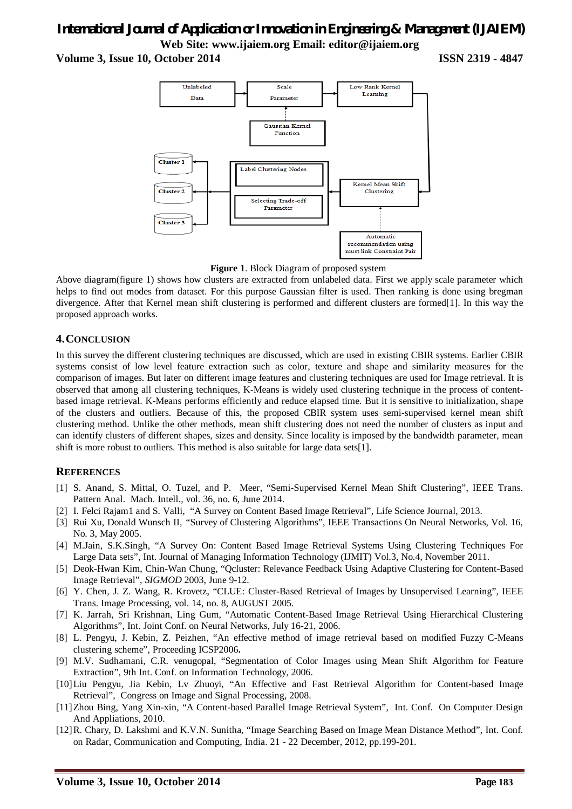## *International Journal of Application or Innovation in Engineering & Management (IJAIEM)* **Web Site: www.ijaiem.org Email: editor@ijaiem.org**

**Volume 3, Issue 10, October 2014 ISSN 2319 - 4847**



**Figure 1**. Block Diagram of proposed system

Above diagram(figure 1) shows how clusters are extracted from unlabeled data. First we apply scale parameter which helps to find out modes from dataset. For this purpose Gaussian filter is used. Then ranking is done using bregman divergence. After that Kernel mean shift clustering is performed and different clusters are formed[1]. In this way the proposed approach works.

## **4.CONCLUSION**

In this survey the different clustering techniques are discussed, which are used in existing CBIR systems. Earlier CBIR systems consist of low level feature extraction such as color, texture and shape and similarity measures for the comparison of images. But later on different image features and clustering techniques are used for Image retrieval. It is observed that among all clustering techniques, K-Means is widely used clustering technique in the process of contentbased image retrieval. K-Means performs efficiently and reduce elapsed time. But it is sensitive to initialization, shape of the clusters and outliers. Because of this, the proposed CBIR system uses semi-supervised kernel mean shift clustering method. Unlike the other methods, mean shift clustering does not need the number of clusters as input and can identify clusters of different shapes, sizes and density. Since locality is imposed by the bandwidth parameter, mean shift is more robust to outliers. This method is also suitable for large data sets[1].

## **REFERENCES**

- [1] S. Anand, S. Mittal, O. Tuzel, and P. Meer, "Semi-Supervised Kernel Mean Shift Clustering", IEEE Trans. Pattern Anal. Mach. Intell., vol. 36, no. 6, June 2014.
- [2] I. Felci Rajam1 and S. Valli, "A Survey on Content Based Image Retrieval", Life Science Journal, 2013.
- [3] Rui Xu*,* Donald Wunsch II*, "*Survey of Clustering Algorithms", IEEE Transactions On Neural Networks, Vol. 16, No. 3, May 2005.
- [4] M.Jain, S.K.Singh, "A Survey On: Content Based Image Retrieval Systems Using Clustering Techniques For Large Data sets", Int. Journal of Managing Information Technology (IJMIT) Vol.3, No.4, November 2011.
- [5] Deok-Hwan Kim, Chin-Wan Chung, "Qcluster: Relevance Feedback Using Adaptive Clustering for Content-Based Image Retrieval", *SIGMOD* 2003, June 9-12.
- [6] Y. Chen*,* J. Z. Wang*,* R. Krovetz, "CLUE: Cluster-Based Retrieval of Images by Unsupervised Learning", IEEE Trans. Image Processing, vol. 14, no. 8, AUGUST 2005.
- [7] K. Jarrah, Sri Krishnan, Ling Gum, "Automatic Content-Based Image Retrieval Using Hierarchical Clustering Algorithms", Int. Joint Conf. on Neural Networks, July 16-21, 2006.
- [8] L. Pengyu, J. Kebin, Z. Peizhen, "An effective method of image retrieval based on modified Fuzzy C-Means clustering scheme", Proceeding ICSP2006**.**
- [9] M.V. Sudhamani, C.R. venugopal, "Segmentation of Color Images using Mean Shift Algorithm for Feature Extraction", 9th Int. Conf. on Information Technology, 2006.
- [10]Liu Pengyu, Jia Kebin, Lv Zhuoyi, "An Effective and Fast Retrieval Algorithm for Content-based Image Retrieval", Congress on Image and Signal Processing, 2008.
- [11]Zhou Bing, Yang Xin-xin, "A Content-based Parallel Image Retrieval System", Int. Conf. On Computer Design And Appliations, 2010.
- [12]R. Chary, D. Lakshmi and K.V.N. Sunitha, "Image Searching Based on Image Mean Distance Method", Int. Conf. on Radar, Communication and Computing, India. 21 - 22 December, 2012, pp.199-201.